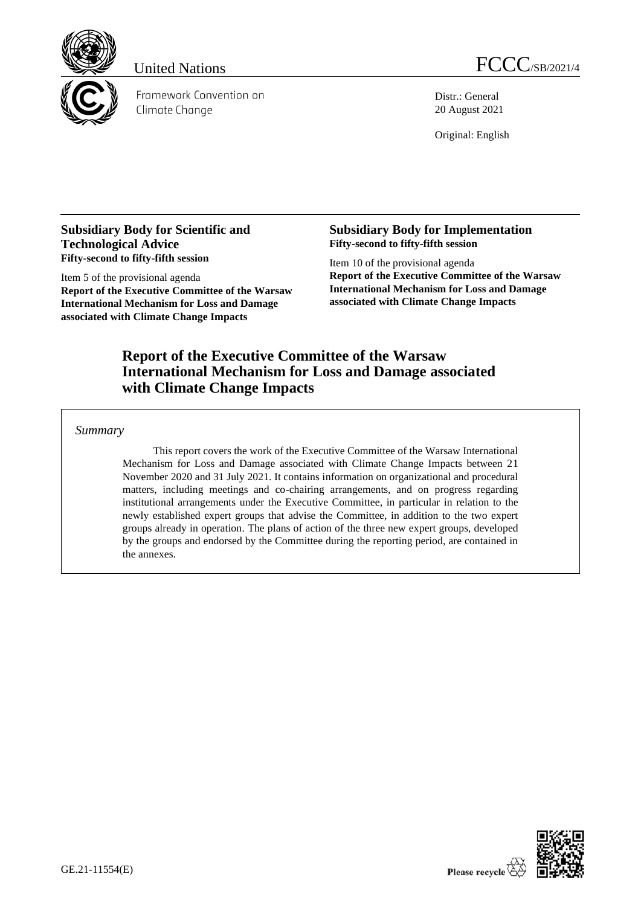

Framework Convention on Climate Change



Distr.: General 20 August 2021

Original: English

### **Subsidiary Body for Scientific and Technological Advice Fifty-second to fifty-fifth session**

Item 5 of the provisional agenda **Report of the Executive Committee of the Warsaw International Mechanism for Loss and Damage associated with Climate Change Impacts**

### **Subsidiary Body for Implementation Fifty-second to fifty-fifth session**

Item 10 of the provisional agenda **Report of the Executive Committee of the Warsaw International Mechanism for Loss and Damage associated with Climate Change Impacts**

## **Report of the Executive Committee of the Warsaw International Mechanism for Loss and Damage associated with Climate Change Impacts**

*Summary*

This report covers the work of the Executive Committee of the Warsaw International Mechanism for Loss and Damage associated with Climate Change Impacts between 21 November 2020 and 31 July 2021. It contains information on organizational and procedural matters, including meetings and co-chairing arrangements, and on progress regarding institutional arrangements under the Executive Committee, in particular in relation to the newly established expert groups that advise the Committee, in addition to the two expert groups already in operation. The plans of action of the three new expert groups, developed by the groups and endorsed by the Committee during the reporting period, are contained in the annexes.

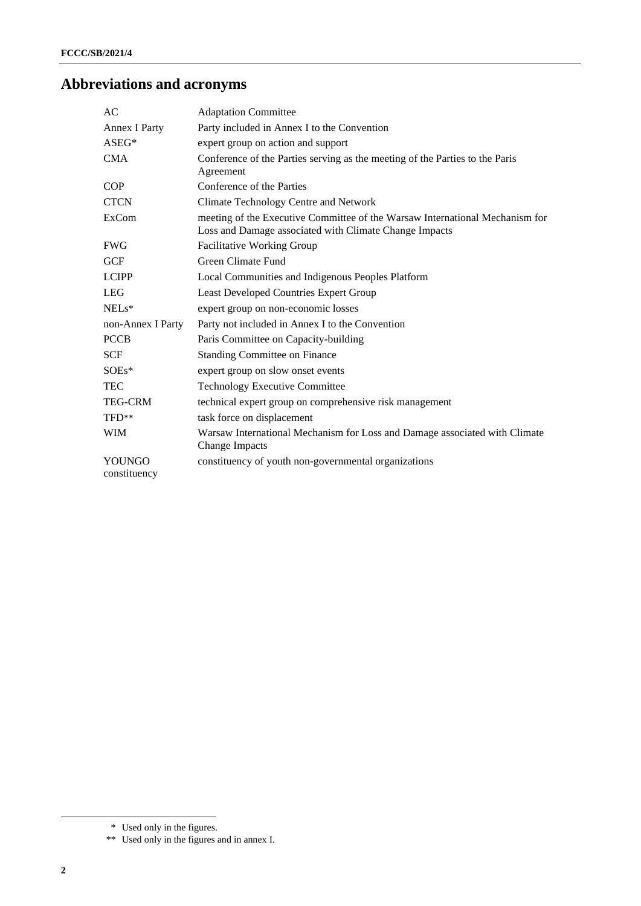# **Abbreviations and acronyms**

| AC                     | <b>Adaptation Committee</b>                                                                                                            |
|------------------------|----------------------------------------------------------------------------------------------------------------------------------------|
| <b>Annex I Party</b>   | Party included in Annex I to the Convention                                                                                            |
| $ASEG*$                | expert group on action and support                                                                                                     |
| <b>CMA</b>             | Conference of the Parties serving as the meeting of the Parties to the Paris<br>Agreement                                              |
| <b>COP</b>             | Conference of the Parties                                                                                                              |
| <b>CTCN</b>            | Climate Technology Centre and Network                                                                                                  |
| ExCom                  | meeting of the Executive Committee of the Warsaw International Mechanism for<br>Loss and Damage associated with Climate Change Impacts |
| <b>FWG</b>             | <b>Facilitative Working Group</b>                                                                                                      |
| <b>GCF</b>             | Green Climate Fund                                                                                                                     |
| <b>LCIPP</b>           | Local Communities and Indigenous Peoples Platform                                                                                      |
| <b>LEG</b>             | Least Developed Countries Expert Group                                                                                                 |
| $NELs*$                | expert group on non-economic losses                                                                                                    |
| non-Annex I Party      | Party not included in Annex I to the Convention                                                                                        |
| <b>PCCB</b>            | Paris Committee on Capacity-building                                                                                                   |
| <b>SCF</b>             | <b>Standing Committee on Finance</b>                                                                                                   |
| $SOEs*$                | expert group on slow onset events                                                                                                      |
| <b>TEC</b>             | <b>Technology Executive Committee</b>                                                                                                  |
| <b>TEG-CRM</b>         | technical expert group on comprehensive risk management                                                                                |
| TFD**                  | task force on displacement                                                                                                             |
| <b>WIM</b>             | Warsaw International Mechanism for Loss and Damage associated with Climate<br>Change Impacts                                           |
| YOUNGO<br>constituency | constituency of youth non-governmental organizations                                                                                   |

<sup>\*</sup> Used only in the figures.

<sup>\*\*</sup> Used only in the figures and in annex I.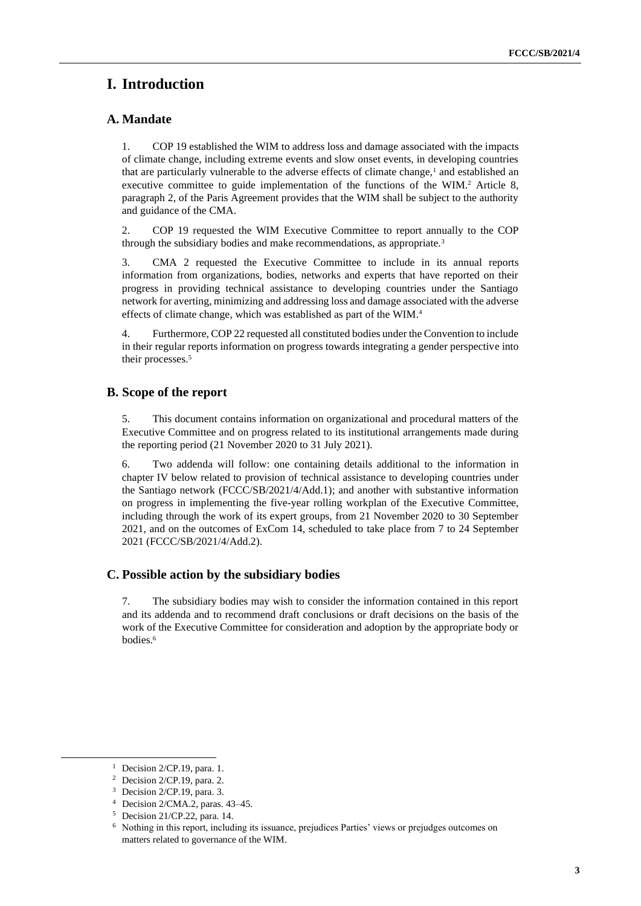# **I. Introduction**

## **A. Mandate**

1. COP 19 established the WIM to address loss and damage associated with the impacts of climate change, including extreme events and slow onset events, in developing countries that are particularly vulnerable to the adverse effects of climate change,<sup>1</sup> and established an executive committee to guide implementation of the functions of the WIM.<sup>2</sup> Article 8, paragraph 2, of the Paris Agreement provides that the WIM shall be subject to the authority and guidance of the CMA.

2. COP 19 requested the WIM Executive Committee to report annually to the COP through the subsidiary bodies and make recommendations, as appropriate.<sup>3</sup>

3. CMA 2 requested the Executive Committee to include in its annual reports information from organizations, bodies, networks and experts that have reported on their progress in providing technical assistance to developing countries under the Santiago network for averting, minimizing and addressing loss and damage associated with the adverse effects of climate change, which was established as part of the WIM. 4

4. Furthermore, COP 22 requested all constituted bodies under the Convention to include in their regular reports information on progress towards integrating a gender perspective into their processes.<sup>5</sup>

## **B. Scope of the report**

5. This document contains information on organizational and procedural matters of the Executive Committee and on progress related to its institutional arrangements made during the reporting period (21 November 2020 to 31 July 2021).

6. Two addenda will follow: one containing details additional to the information in chapter IV below related to provision of technical assistance to developing countries under the Santiago network (FCCC/SB/2021/4/Add.1); and another with substantive information on progress in implementing the five-year rolling workplan of the Executive Committee, including through the work of its expert groups, from 21 November 2020 to 30 September 2021, and on the outcomes of ExCom 14, scheduled to take place from 7 to 24 September 2021 (FCCC/SB/2021/4/Add.2).

### **C. Possible action by the subsidiary bodies**

7. The subsidiary bodies may wish to consider the information contained in this report and its addenda and to recommend draft conclusions or draft decisions on the basis of the work of the Executive Committee for consideration and adoption by the appropriate body or bodies.<sup>6</sup>

<sup>&</sup>lt;sup>1</sup> Decision 2/CP.19, para. 1.

<sup>2</sup> Decision 2/CP.19, para. 2.

<sup>3</sup> Decision 2/CP.19, para. 3.

<sup>4</sup> Decision 2/CMA.2, paras. 43–45.

<sup>5</sup> Decision 21/CP.22, para. 14.

<sup>6</sup> Nothing in this report, including its issuance, prejudices Parties' views or prejudges outcomes on matters related to governance of the WIM.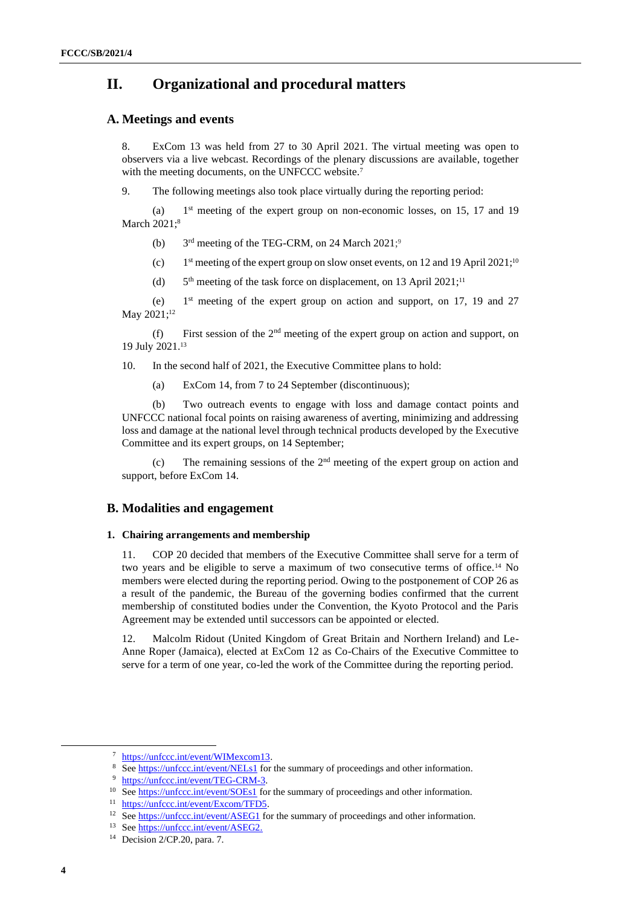## **II. Organizational and procedural matters**

### **A. Meetings and events**

8. ExCom 13 was held from 27 to 30 April 2021. The virtual meeting was open to observers via a live webcast. Recordings of the plenary discussions are available, together with the meeting documents, on the UNFCCC website.<sup>7</sup>

9. The following meetings also took place virtually during the reporting period:

 $(a)$  $1<sup>st</sup>$  meeting of the expert group on non-economic losses, on 15, 17 and 19 March 2021;<sup>8</sup>

 $(b)$ <sup>rd</sup> meeting of the TEG-CRM, on 24 March 2021;<sup>9</sup>

- $(c)$ <sup>st</sup> meeting of the expert group on slow onset events, on 12 and 19 April 2021;<sup>10</sup>
- $(d)$  $<sup>th</sup>$  meeting of the task force on displacement, on 13 April 2021;<sup>11</sup></sup>

 $(e)$  $1<sup>st</sup>$  meeting of the expert group on action and support, on 17, 19 and 27 May 2021;<sup>12</sup>

(f) First session of the  $2<sup>nd</sup>$  meeting of the expert group on action and support, on 19 July 2021. 13

10. In the second half of 2021, the Executive Committee plans to hold:

(a) ExCom 14, from 7 to 24 September (discontinuous);

(b) Two outreach events to engage with loss and damage contact points and UNFCCC national focal points on raising awareness of averting, minimizing and addressing loss and damage at the national level through technical products developed by the Executive Committee and its expert groups, on 14 September;

 $(c)$  The remaining sessions of the  $2<sup>nd</sup>$  meeting of the expert group on action and support, before ExCom 14.

### **B. Modalities and engagement**

#### **1. Chairing arrangements and membership**

11. COP 20 decided that members of the Executive Committee shall serve for a term of two years and be eligible to serve a maximum of two consecutive terms of office.<sup>14</sup> No members were elected during the reporting period. Owing to the postponement of COP 26 as a result of the pandemic, the Bureau of the governing bodies confirmed that the current membership of constituted bodies under the Convention, the Kyoto Protocol and the Paris Agreement may be extended until successors can be appointed or elected.

12. Malcolm Ridout (United Kingdom of Great Britain and Northern Ireland) and Le-Anne Roper (Jamaica), elected at ExCom 12 as Co-Chairs of the Executive Committee to serve for a term of one year, co-led the work of the Committee during the reporting period.

<sup>7</sup> [https://unfccc.int/event/WIMexcom13.](https://unfccc.int/event/WIMexcom13)

<sup>&</sup>lt;sup>8</sup> Se[e https://unfccc.int/event/NELs1](https://unfccc.int/event/NELs1) for the summary of proceedings and other information.

<sup>9</sup> [https://unfccc.int/event/TEG-CRM-3.](https://unfccc.int/event/TEG-CRM-3)

<sup>&</sup>lt;sup>10</sup> Se[e https://unfccc.int/event/SOEs1](https://unfccc.int/event/SOEs1) for the summary of proceedings and other information.

<sup>11</sup> [https://unfccc.int/event/Excom/TFD5.](https://unfccc.int/event/Excom/TFD5)

<sup>&</sup>lt;sup>12</sup> Se[e https://unfccc.int/event/ASEG1](https://unfccc.int/event/ASEG1) for the summary of proceedings and other information.

<sup>13</sup> Se[e https://unfccc.int/event/ASEG2.](https://unfccc.int/event/ASEG2)

<sup>14</sup> Decision 2/CP.20, para. 7.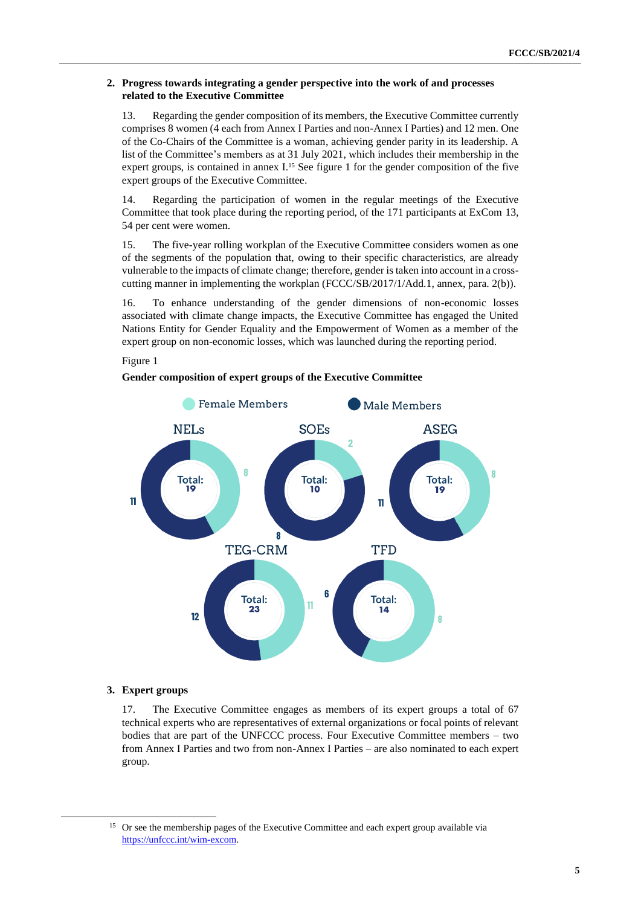#### **2. Progress towards integrating a gender perspective into the work of and processes related to the Executive Committee**

13. Regarding the gender composition of its members, the Executive Committee currently comprises 8 women (4 each from Annex I Parties and non-Annex I Parties) and 12 men. One of the Co-Chairs of the Committee is a woman, achieving gender parity in its leadership. A list of the Committee's members as at 31 July 2021, which includes their membership in the expert groups, is contained in annex  $I$ .<sup>15</sup> See figure 1 for the gender composition of the five expert groups of the Executive Committee.

14. Regarding the participation of women in the regular meetings of the Executive Committee that took place during the reporting period, of the 171 participants at ExCom 13, 54 per cent were women.

15. The five-year rolling workplan of the Executive Committee considers women as one of the segments of the population that, owing to their specific characteristics, are already vulnerable to the impacts of climate change; therefore, gender is taken into account in a crosscutting manner in implementing the workplan (FCCC/SB/2017/1/Add.1, annex, para. 2(b)).

16. To enhance understanding of the gender dimensions of non-economic losses associated with climate change impacts, the Executive Committee has engaged the United Nations Entity for Gender Equality and the Empowerment of Women as a member of the expert group on non-economic losses, which was launched during the reporting period.

#### Figure 1

#### **Gender composition of expert groups of the Executive Committee**



#### **3. Expert groups**

17. The Executive Committee engages as members of its expert groups a total of 67 technical experts who are representatives of external organizations or focal points of relevant bodies that are part of the UNFCCC process. Four Executive Committee members – two from Annex I Parties and two from non-Annex I Parties – are also nominated to each expert group.

<sup>&</sup>lt;sup>15</sup> Or see the membership pages of the Executive Committee and each expert group available via [https://unfccc.int/wim-excom.](https://unfccc.int/wim-excom)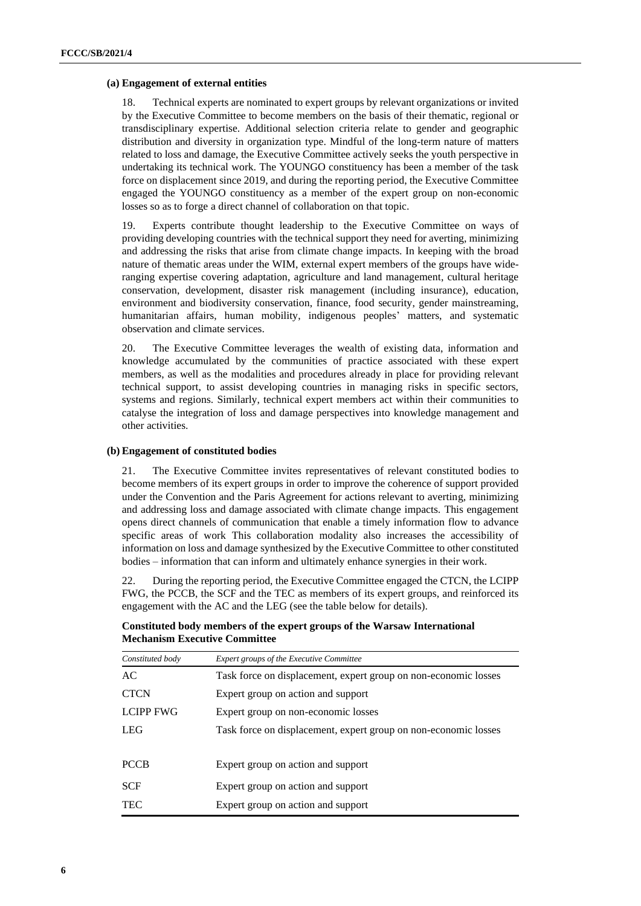#### **(a) Engagement of external entities**

18. Technical experts are nominated to expert groups by relevant organizations or invited by the Executive Committee to become members on the basis of their thematic, regional or transdisciplinary expertise. Additional selection criteria relate to gender and geographic distribution and diversity in organization type. Mindful of the long-term nature of matters related to loss and damage, the Executive Committee actively seeks the youth perspective in undertaking its technical work. The YOUNGO constituency has been a member of the task force on displacement since 2019, and during the reporting period, the Executive Committee engaged the YOUNGO constituency as a member of the expert group on non-economic losses so as to forge a direct channel of collaboration on that topic.

19. Experts contribute thought leadership to the Executive Committee on ways of providing developing countries with the technical support they need for averting, minimizing and addressing the risks that arise from climate change impacts. In keeping with the broad nature of thematic areas under the WIM, external expert members of the groups have wideranging expertise covering adaptation, agriculture and land management, cultural heritage conservation, development, disaster risk management (including insurance), education, environment and biodiversity conservation, finance, food security, gender mainstreaming, humanitarian affairs, human mobility, indigenous peoples' matters, and systematic observation and climate services.

20. The Executive Committee leverages the wealth of existing data, information and knowledge accumulated by the communities of practice associated with these expert members, as well as the modalities and procedures already in place for providing relevant technical support, to assist developing countries in managing risks in specific sectors, systems and regions. Similarly, technical expert members act within their communities to catalyse the integration of loss and damage perspectives into knowledge management and other activities.

#### **(b) Engagement of constituted bodies**

21. The Executive Committee invites representatives of relevant constituted bodies to become members of its expert groups in order to improve the coherence of support provided under the Convention and the Paris Agreement for actions relevant to averting, minimizing and addressing loss and damage associated with climate change impacts. This engagement opens direct channels of communication that enable a timely information flow to advance specific areas of work This collaboration modality also increases the accessibility of information on loss and damage synthesized by the Executive Committee to other constituted bodies – information that can inform and ultimately enhance synergies in their work.

22. During the reporting period, the Executive Committee engaged the CTCN, the LCIPP FWG, the PCCB, the SCF and the TEC as members of its expert groups, and reinforced its engagement with the AC and the LEG (see the table below for details).

#### **Constituted body members of the expert groups of the Warsaw International Mechanism Executive Committee**

| Constituted body | <b>Expert groups of the Executive Committee</b>                 |
|------------------|-----------------------------------------------------------------|
| AC               | Task force on displacement, expert group on non-economic losses |
| <b>CTCN</b>      | Expert group on action and support                              |
| LCIPP FWG        | Expert group on non-economic losses                             |
| <b>LEG</b>       | Task force on displacement, expert group on non-economic losses |
|                  |                                                                 |
| <b>PCCB</b>      | Expert group on action and support                              |
| <b>SCF</b>       | Expert group on action and support                              |
| <b>TEC</b>       | Expert group on action and support                              |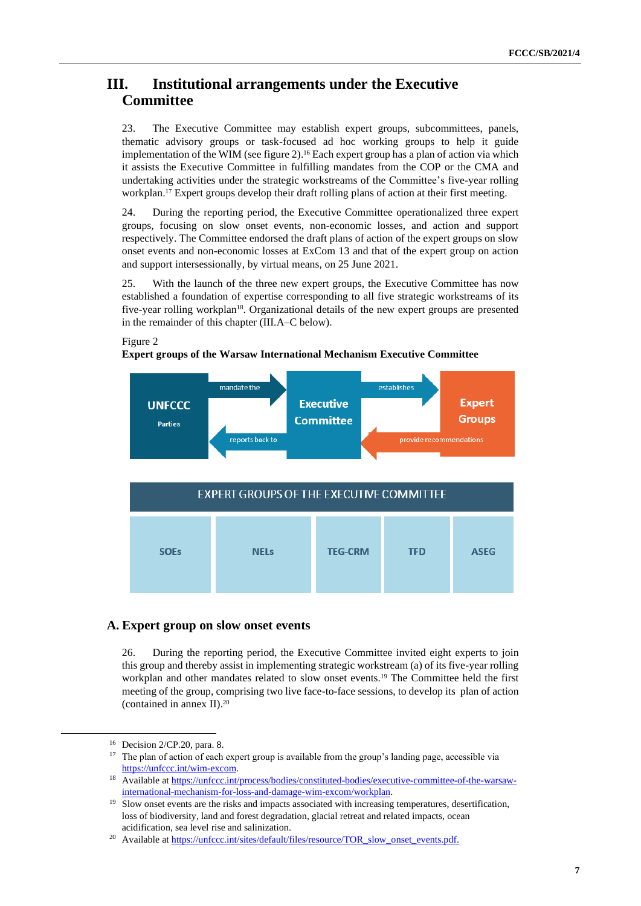## **III. Institutional arrangements under the Executive Committee**

23. The Executive Committee may establish expert groups, subcommittees, panels, thematic advisory groups or task-focused ad hoc working groups to help it guide implementation of the WIM (see figure 2). <sup>16</sup> Each expert group has a plan of action via which it assists the Executive Committee in fulfilling mandates from the COP or the CMA and undertaking activities under the strategic workstreams of the Committee's five-year rolling workplan.<sup>17</sup> Expert groups develop their draft rolling plans of action at their first meeting.

24. During the reporting period, the Executive Committee operationalized three expert groups, focusing on slow onset events, non-economic losses, and action and support respectively. The Committee endorsed the draft plans of action of the expert groups on slow onset events and non-economic losses at ExCom 13 and that of the expert group on action and support intersessionally, by virtual means, on 25 June 2021.

25. With the launch of the three new expert groups, the Executive Committee has now established a foundation of expertise corresponding to all five strategic workstreams of its five-year rolling workplan<sup>18</sup>. Organizational details of the new expert groups are presented in the remainder of this chapter (III.A–C below).



#### **Expert groups of the Warsaw International Mechanism Executive Committee**





#### **A. Expert group on slow onset events**

26. During the reporting period, the Executive Committee invited eight experts to join this group and thereby assist in implementing strategic workstream (a) of its five-year rolling workplan and other mandates related to slow onset events. <sup>19</sup> The Committee held the first meeting of the group, comprising two live face-to-face sessions, to develop its plan of action (contained in annex II). 20

<sup>16</sup> Decision 2/CP.20, para. 8.

<sup>&</sup>lt;sup>17</sup> The plan of action of each expert group is available from the group's landing page, accessible via [https://unfccc.int/wim-excom.](https://unfccc.int/wim-excom) 

<sup>18</sup> Available a[t https://unfccc.int/process/bodies/constituted-bodies/executive-committee-of-the-warsaw](https://unfccc.int/process/bodies/constituted-bodies/executive-committee-of-the-warsaw-international-mechanism-for-loss-and-damage-wim-excom/workplan)[international-mechanism-for-loss-and-damage-wim-excom/workplan.](https://unfccc.int/process/bodies/constituted-bodies/executive-committee-of-the-warsaw-international-mechanism-for-loss-and-damage-wim-excom/workplan)

<sup>&</sup>lt;sup>19</sup> Slow onset events are the risks and impacts associated with increasing temperatures, desertification, loss of biodiversity, land and forest degradation, glacial retreat and related impacts, ocean acidification, sea level rise and salinization.

<sup>&</sup>lt;sup>20</sup> Available a[t https://unfccc.int/sites/default/files/resource/TOR\\_slow\\_onset\\_events.pdf.](https://unfccc.int/sites/default/files/resource/TOR_slow_onset_events.pdf)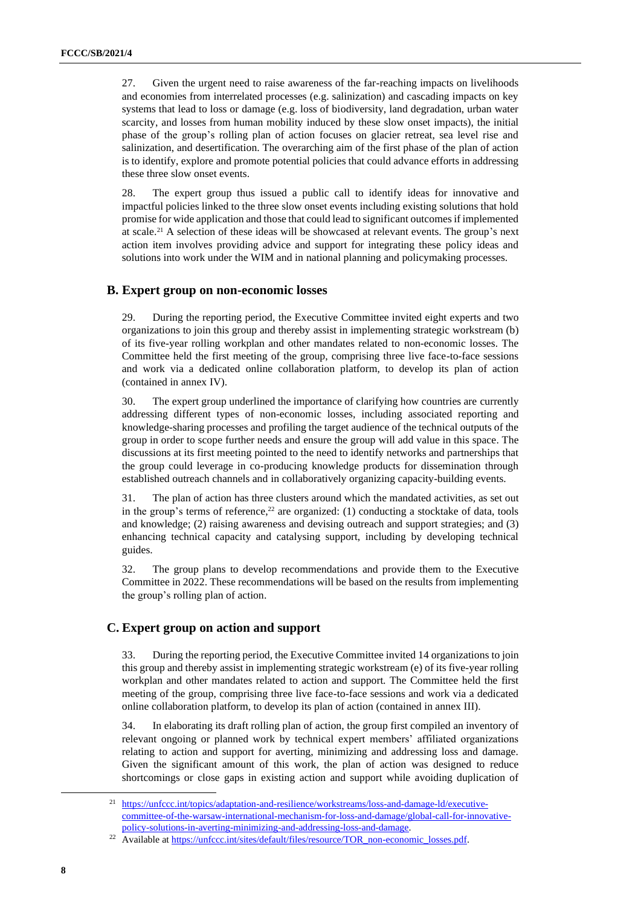27. Given the urgent need to raise awareness of the far-reaching impacts on livelihoods and economies from interrelated processes (e.g. salinization) and cascading impacts on key systems that lead to loss or damage (e.g. loss of biodiversity, land degradation, urban water scarcity, and losses from human mobility induced by these slow onset impacts), the initial phase of the group's rolling plan of action focuses on glacier retreat, sea level rise and salinization, and desertification. The overarching aim of the first phase of the plan of action is to identify, explore and promote potential policies that could advance efforts in addressing these three slow onset events.

28. The expert group thus issued a public call to identify ideas for innovative and impactful policies linked to the three slow onset events including existing solutions that hold promise for wide application and those that could lead to significant outcomes if implemented at scale. <sup>21</sup> A selection of these ideas will be showcased at relevant events. The group's next action item involves providing advice and support for integrating these policy ideas and solutions into work under the WIM and in national planning and policymaking processes.

#### **B. Expert group on non-economic losses**

29. During the reporting period, the Executive Committee invited eight experts and two organizations to join this group and thereby assist in implementing strategic workstream (b) of its five-year rolling workplan and other mandates related to non-economic losses. The Committee held the first meeting of the group, comprising three live face-to-face sessions and work via a dedicated online collaboration platform, to develop its plan of action (contained in annex IV).

30. The expert group underlined the importance of clarifying how countries are currently addressing different types of non-economic losses, including associated reporting and knowledge-sharing processes and profiling the target audience of the technical outputs of the group in order to scope further needs and ensure the group will add value in this space. The discussions at its first meeting pointed to the need to identify networks and partnerships that the group could leverage in co-producing knowledge products for dissemination through established outreach channels and in collaboratively organizing capacity-building events.

31. The plan of action has three clusters around which the mandated activities, as set out in the group's terms of reference,<sup>22</sup> are organized: (1) conducting a stocktake of data, tools and knowledge; (2) raising awareness and devising outreach and support strategies; and (3) enhancing technical capacity and catalysing support, including by developing technical guides.

32. The group plans to develop recommendations and provide them to the Executive Committee in 2022. These recommendations will be based on the results from implementing the group's rolling plan of action.

#### **C. Expert group on action and support**

33. During the reporting period, the Executive Committee invited 14 organizations to join this group and thereby assist in implementing strategic workstream (e) of its five-year rolling workplan and other mandates related to action and support. The Committee held the first meeting of the group, comprising three live face-to-face sessions and work via a dedicated online collaboration platform, to develop its plan of action (contained in annex III).

34. In elaborating its draft rolling plan of action, the group first compiled an inventory of relevant ongoing or planned work by technical expert members' affiliated organizations relating to action and support for averting, minimizing and addressing loss and damage. Given the significant amount of this work, the plan of action was designed to reduce shortcomings or close gaps in existing action and support while avoiding duplication of

<sup>&</sup>lt;sup>21</sup> [https://unfccc.int/topics/adaptation-and-resilience/workstreams/loss-and-damage-ld/executive](https://unfccc.int/topics/adaptation-and-resilience/workstreams/loss-and-damage-ld/executive-committee-of-the-warsaw-international-mechanism-for-loss-and-damage/global-call-for-innovative-policy-solutions-in-averting-minimizing-and-addressing-loss-and-damage)[committee-of-the-warsaw-international-mechanism-for-loss-and-damage/global-call-for-innovative](https://unfccc.int/topics/adaptation-and-resilience/workstreams/loss-and-damage-ld/executive-committee-of-the-warsaw-international-mechanism-for-loss-and-damage/global-call-for-innovative-policy-solutions-in-averting-minimizing-and-addressing-loss-and-damage)[policy-solutions-in-averting-minimizing-and-addressing-loss-and-damage.](https://unfccc.int/topics/adaptation-and-resilience/workstreams/loss-and-damage-ld/executive-committee-of-the-warsaw-international-mechanism-for-loss-and-damage/global-call-for-innovative-policy-solutions-in-averting-minimizing-and-addressing-loss-and-damage)

<sup>&</sup>lt;sup>22</sup> Available a[t https://unfccc.int/sites/default/files/resource/TOR\\_non-economic\\_losses.pdf.](https://unfccc.int/sites/default/files/resource/TOR_non-economic_losses.pdf)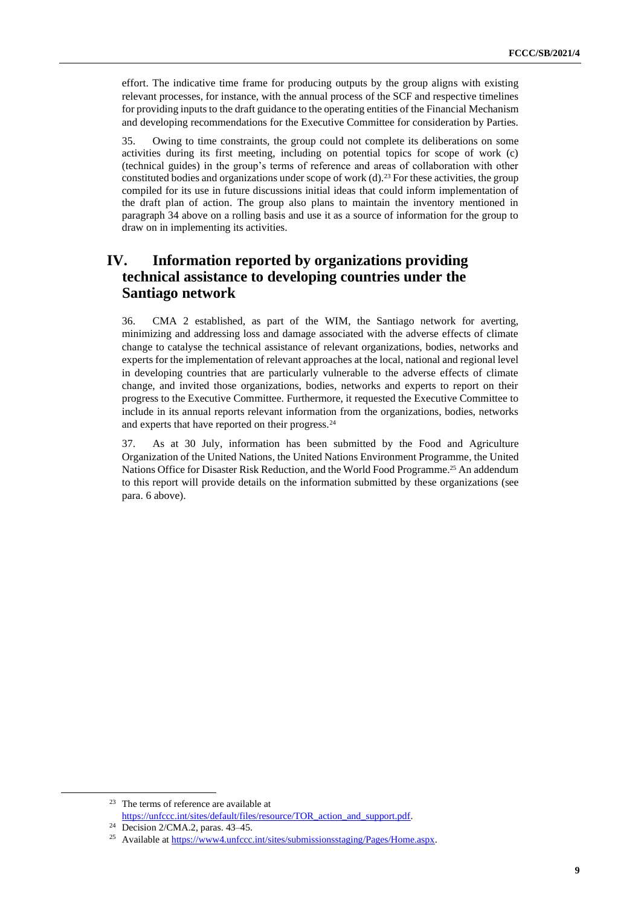effort. The indicative time frame for producing outputs by the group aligns with existing relevant processes, for instance, with the annual process of the SCF and respective timelines for providing inputs to the draft guidance to the operating entities of the Financial Mechanism and developing recommendations for the Executive Committee for consideration by Parties.

35. Owing to time constraints, the group could not complete its deliberations on some activities during its first meeting, including on potential topics for scope of work (c) (technical guides) in the group's terms of reference and areas of collaboration with other constituted bodies and organizations under scope of work  $(d)$ .<sup>23</sup> For these activities, the group compiled for its use in future discussions initial ideas that could inform implementation of the draft plan of action. The group also plans to maintain the inventory mentioned in paragraph 34 above on a rolling basis and use it as a source of information for the group to draw on in implementing its activities.

## **IV. Information reported by organizations providing technical assistance to developing countries under the Santiago network**

36. CMA 2 established, as part of the WIM, the Santiago network for averting, minimizing and addressing loss and damage associated with the adverse effects of climate change to catalyse the technical assistance of relevant organizations, bodies, networks and experts for the implementation of relevant approaches at the local, national and regional level in developing countries that are particularly vulnerable to the adverse effects of climate change, and invited those organizations, bodies, networks and experts to report on their progress to the Executive Committee. Furthermore, it requested the Executive Committee to include in its annual reports relevant information from the organizations, bodies, networks and experts that have reported on their progress.<sup>24</sup>

37. As at 30 July, information has been submitted by the Food and Agriculture Organization of the United Nations, the United Nations Environment Programme, the United Nations Office for Disaster Risk Reduction, and the World Food Programme. <sup>25</sup> An addendum to this report will provide details on the information submitted by these organizations (see para. 6 above).

<sup>23</sup> The terms of reference are available at [https://unfccc.int/sites/default/files/resource/TOR\\_action\\_and\\_support.pdf.](https://unfccc.int/sites/default/files/resource/TOR_action_and_support.pdf)

<sup>24</sup> Decision 2/CMA.2, paras. 43–45.

<sup>&</sup>lt;sup>25</sup> Available a[t https://www4.unfccc.int/sites/submissionsstaging/Pages/Home.aspx.](https://www4.unfccc.int/sites/submissionsstaging/Pages/Home.aspx)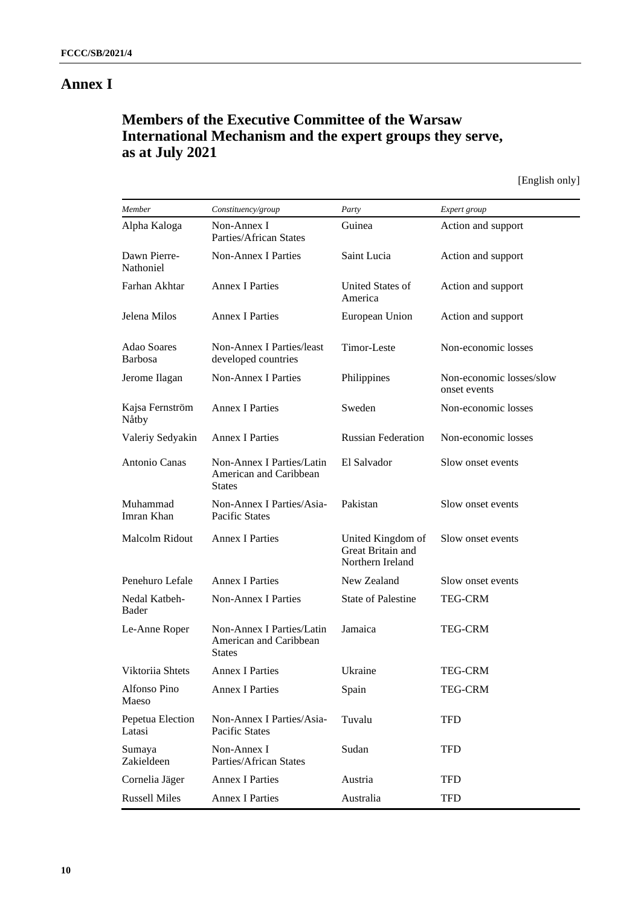## **Annex I**

# **Members of the Executive Committee of the Warsaw International Mechanism and the expert groups they serve, as at July 2021**

[English only]

| Member                               | Constituency/group                                                   | Party                                                      | Expert group                             |
|--------------------------------------|----------------------------------------------------------------------|------------------------------------------------------------|------------------------------------------|
| Alpha Kaloga                         | Non-Annex I<br>Parties/African States                                | Guinea                                                     | Action and support                       |
| Dawn Pierre-<br>Nathoniel            | <b>Non-Annex I Parties</b>                                           | Saint Lucia                                                | Action and support                       |
| Farhan Akhtar                        | <b>Annex I Parties</b>                                               | United States of<br>America                                | Action and support                       |
| Jelena Milos                         | <b>Annex I Parties</b>                                               | European Union                                             | Action and support                       |
| <b>Adao Soares</b><br><b>Barbosa</b> | Non-Annex I Parties/least<br>developed countries                     | Timor-Leste                                                | Non-economic losses                      |
| Jerome Ilagan                        | <b>Non-Annex I Parties</b>                                           | Philippines                                                | Non-economic losses/slow<br>onset events |
| Kajsa Fernström<br>Nåtby             | <b>Annex I Parties</b>                                               | Sweden                                                     | Non-economic losses                      |
| Valeriy Sedyakin                     | <b>Annex I Parties</b>                                               | <b>Russian Federation</b>                                  | Non-economic losses                      |
| Antonio Canas                        | Non-Annex I Parties/Latin<br>American and Caribbean<br>States        | El Salvador                                                | Slow onset events                        |
| Muhammad<br>Imran Khan               | Non-Annex I Parties/Asia-<br>Pacific States                          | Pakistan                                                   | Slow onset events                        |
| Malcolm Ridout                       | <b>Annex I Parties</b>                                               | United Kingdom of<br>Great Britain and<br>Northern Ireland | Slow onset events                        |
| Penehuro Lefale                      | <b>Annex I Parties</b>                                               | New Zealand                                                | Slow onset events                        |
| Nedal Katbeh-<br>Bader               | <b>Non-Annex I Parties</b>                                           | <b>State of Palestine</b>                                  | TEG-CRM                                  |
| Le-Anne Roper                        | Non-Annex I Parties/Latin<br>American and Caribbean<br><b>States</b> | Jamaica                                                    | <b>TEG-CRM</b>                           |
| Viktoriia Shtets                     | <b>Annex I Parties</b>                                               | Ukraine                                                    | <b>TEG-CRM</b>                           |
| Alfonso Pino<br>Maeso                | <b>Annex I Parties</b>                                               | Spain                                                      | <b>TEG-CRM</b>                           |
| Pepetua Election<br>Latasi           | Non-Annex I Parties/Asia-<br>Pacific States                          | Tuvalu                                                     | <b>TFD</b>                               |
| Sumaya<br>Zakieldeen                 | Non-Annex I<br>Parties/African States                                | Sudan                                                      | <b>TFD</b>                               |
| Cornelia Jäger                       | <b>Annex I Parties</b>                                               | Austria                                                    | <b>TFD</b>                               |
| <b>Russell Miles</b>                 | <b>Annex I Parties</b>                                               | Australia                                                  | <b>TFD</b>                               |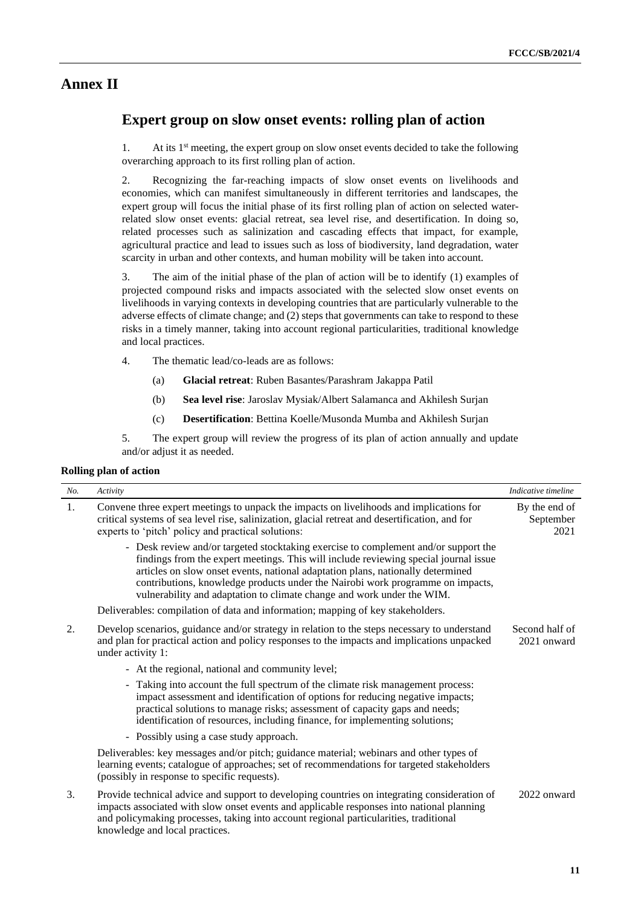## **Annex II**

## **Expert group on slow onset events: rolling plan of action**

1. At its 1<sup>st</sup> meeting, the expert group on slow onset events decided to take the following overarching approach to its first rolling plan of action.

2. Recognizing the far-reaching impacts of slow onset events on livelihoods and economies, which can manifest simultaneously in different territories and landscapes, the expert group will focus the initial phase of its first rolling plan of action on selected waterrelated slow onset events: glacial retreat, sea level rise, and desertification. In doing so, related processes such as salinization and cascading effects that impact, for example, agricultural practice and lead to issues such as loss of biodiversity, land degradation, water scarcity in urban and other contexts, and human mobility will be taken into account.

3. The aim of the initial phase of the plan of action will be to identify (1) examples of projected compound risks and impacts associated with the selected slow onset events on livelihoods in varying contexts in developing countries that are particularly vulnerable to the adverse effects of climate change; and (2) steps that governments can take to respond to these risks in a timely manner, taking into account regional particularities, traditional knowledge and local practices.

- 4. The thematic lead/co-leads are as follows:
	- (a) **Glacial retreat**: Ruben Basantes/Parashram Jakappa Patil
	- (b) **Sea level rise**: Jaroslav Mysiak/Albert Salamanca and Akhilesh Surjan
	- (c) **Desertification**: Bettina Koelle/Musonda Mumba and Akhilesh Surjan

5. The expert group will review the progress of its plan of action annually and update and/or adjust it as needed.

**Rolling plan of action**

| No. | Activity                                                                                                                                                                                                                                                                                                                                                                                                                   | Indicative timeline                |
|-----|----------------------------------------------------------------------------------------------------------------------------------------------------------------------------------------------------------------------------------------------------------------------------------------------------------------------------------------------------------------------------------------------------------------------------|------------------------------------|
| 1.  | Convene three expert meetings to unpack the impacts on livelihoods and implications for<br>critical systems of sea level rise, salinization, glacial retreat and desertification, and for<br>experts to 'pitch' policy and practical solutions:                                                                                                                                                                            | By the end of<br>September<br>2021 |
|     | - Desk review and/or targeted stocktaking exercise to complement and/or support the<br>findings from the expert meetings. This will include reviewing special journal issue<br>articles on slow onset events, national adaptation plans, nationally determined<br>contributions, knowledge products under the Nairobi work programme on impacts,<br>vulnerability and adaptation to climate change and work under the WIM. |                                    |
|     | Deliverables: compilation of data and information; mapping of key stakeholders.                                                                                                                                                                                                                                                                                                                                            |                                    |
| 2.  | Develop scenarios, guidance and/or strategy in relation to the steps necessary to understand<br>and plan for practical action and policy responses to the impacts and implications unpacked<br>under activity 1:                                                                                                                                                                                                           | Second half of<br>2021 onward      |
|     | - At the regional, national and community level;                                                                                                                                                                                                                                                                                                                                                                           |                                    |
|     | - Taking into account the full spectrum of the climate risk management process:<br>impact assessment and identification of options for reducing negative impacts;<br>practical solutions to manage risks; assessment of capacity gaps and needs;<br>identification of resources, including finance, for implementing solutions;                                                                                            |                                    |
|     | - Possibly using a case study approach.                                                                                                                                                                                                                                                                                                                                                                                    |                                    |
|     | Deliverables: key messages and/or pitch; guidance material; webinars and other types of<br>learning events; catalogue of approaches; set of recommendations for targeted stakeholders<br>(possibly in response to specific requests).                                                                                                                                                                                      |                                    |
| 3.  | Provide technical advice and support to developing countries on integrating consideration of<br>impacts associated with slow onset events and applicable responses into national planning<br>and policymaking processes, taking into account regional particularities, traditional<br>knowledge and local practices.                                                                                                       | 2022 onward                        |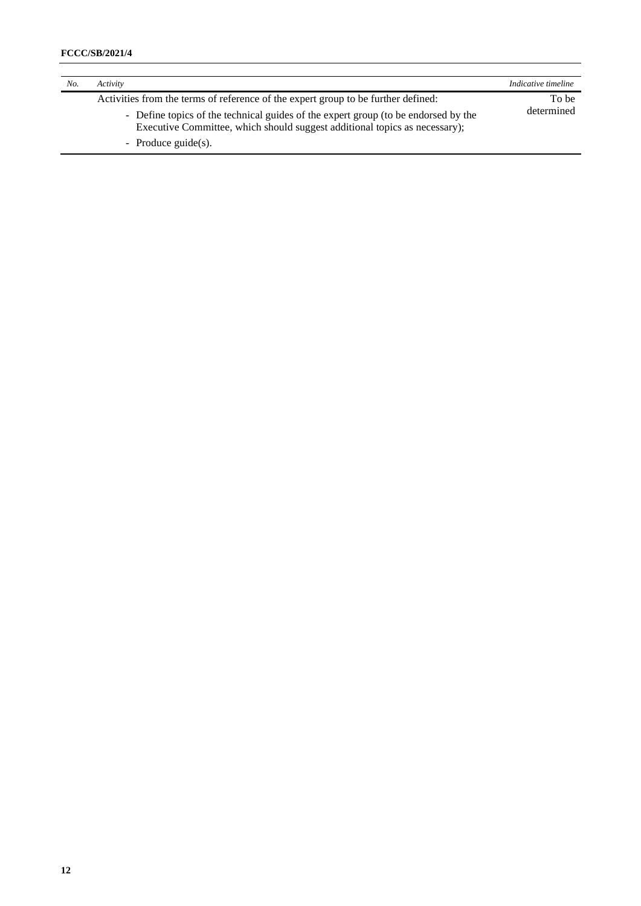| No. | Activity                                                                                                                                                         | Indicative timeline |
|-----|------------------------------------------------------------------------------------------------------------------------------------------------------------------|---------------------|
|     | Activities from the terms of reference of the expert group to be further defined:                                                                                | To be               |
|     | - Define topics of the technical guides of the expert group (to be endorsed by the<br>Executive Committee, which should suggest additional topics as necessary); | determined          |
|     | - Produce $\text{guide}(s)$ .                                                                                                                                    |                     |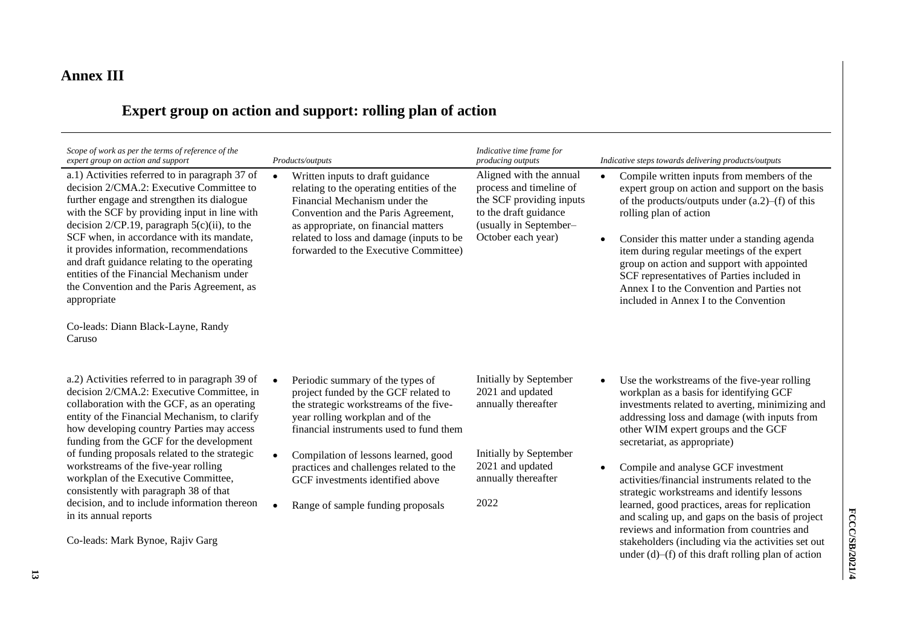# **Annex III**

# **Expert group on action and support: rolling plan of action**

| Scope of work as per the terms of reference of the<br>expert group on action and support                                                                                                                                                                                                                                                                                                                                                                                                                                                                                     | Products/outputs                                                                                                                                                                                                                                                                                                                                                                        | Indicative time frame for<br>producing outputs                                                                                                          | Indicative steps towards delivering products/outputs                                                                                                                                                                                                                                                                                                                                                                                                                                                                                                                                                                                                                           |
|------------------------------------------------------------------------------------------------------------------------------------------------------------------------------------------------------------------------------------------------------------------------------------------------------------------------------------------------------------------------------------------------------------------------------------------------------------------------------------------------------------------------------------------------------------------------------|-----------------------------------------------------------------------------------------------------------------------------------------------------------------------------------------------------------------------------------------------------------------------------------------------------------------------------------------------------------------------------------------|---------------------------------------------------------------------------------------------------------------------------------------------------------|--------------------------------------------------------------------------------------------------------------------------------------------------------------------------------------------------------------------------------------------------------------------------------------------------------------------------------------------------------------------------------------------------------------------------------------------------------------------------------------------------------------------------------------------------------------------------------------------------------------------------------------------------------------------------------|
| a.1) Activities referred to in paragraph 37 of<br>decision 2/CMA.2: Executive Committee to<br>further engage and strengthen its dialogue<br>with the SCF by providing input in line with<br>decision $2/CP.19$ , paragraph $5(c)(ii)$ , to the<br>SCF when, in accordance with its mandate,<br>it provides information, recommendations<br>and draft guidance relating to the operating<br>entities of the Financial Mechanism under<br>the Convention and the Paris Agreement, as<br>appropriate<br>Co-leads: Diann Black-Layne, Randy<br>Caruso                            | Written inputs to draft guidance<br>$\bullet$<br>relating to the operating entities of the<br>Financial Mechanism under the<br>Convention and the Paris Agreement,<br>as appropriate, on financial matters<br>related to loss and damage (inputs to be<br>forwarded to the Executive Committee)                                                                                         | Aligned with the annual<br>process and timeline of<br>the SCF providing inputs<br>to the draft guidance<br>(usually in September-<br>October each year) | Compile written inputs from members of the<br>$\bullet$<br>expert group on action and support on the basis<br>of the products/outputs under $(a.2)$ – $(f)$ of this<br>rolling plan of action<br>Consider this matter under a standing agenda<br>$\bullet$<br>item during regular meetings of the expert<br>group on action and support with appointed<br>SCF representatives of Parties included in<br>Annex I to the Convention and Parties not<br>included in Annex I to the Convention                                                                                                                                                                                     |
| a.2) Activities referred to in paragraph 39 of<br>decision 2/CMA.2: Executive Committee, in<br>collaboration with the GCF, as an operating<br>entity of the Financial Mechanism, to clarify<br>how developing country Parties may access<br>funding from the GCF for the development<br>of funding proposals related to the strategic<br>workstreams of the five-year rolling<br>workplan of the Executive Committee,<br>consistently with paragraph 38 of that<br>decision, and to include information thereon<br>in its annual reports<br>Co-leads: Mark Bynoe, Rajiv Garg | Periodic summary of the types of<br>project funded by the GCF related to<br>the strategic workstreams of the five-<br>year rolling workplan and of the<br>financial instruments used to fund them<br>Compilation of lessons learned, good<br>$\bullet$<br>practices and challenges related to the<br>GCF investments identified above<br>Range of sample funding proposals<br>$\bullet$ | Initially by September<br>2021 and updated<br>annually thereafter<br>Initially by September<br>2021 and updated<br>annually thereafter<br>2022          | Use the workstreams of the five-year rolling<br>workplan as a basis for identifying GCF<br>investments related to averting, minimizing and<br>addressing loss and damage (with inputs from<br>other WIM expert groups and the GCF<br>secretariat, as appropriate)<br>Compile and analyse GCF investment<br>activities/financial instruments related to the<br>strategic workstreams and identify lessons<br>learned, good practices, areas for replication<br>and scaling up, and gaps on the basis of project<br>reviews and information from countries and<br>stakeholders (including via the activities set out<br>under $(d)$ – $(f)$ of this draft rolling plan of action |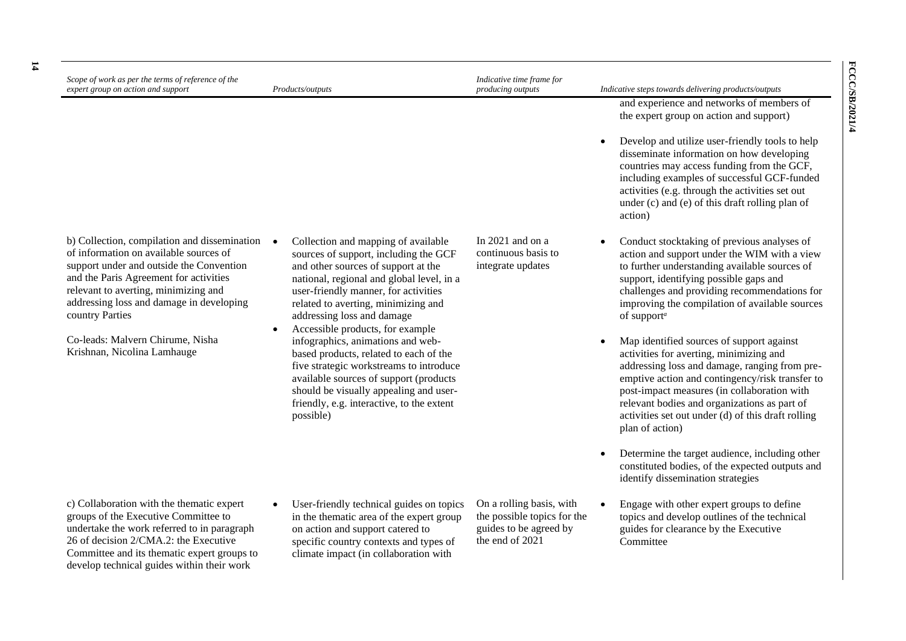| Scope of work as per the terms of reference of the<br>expert group on action and support                                                                                                                                                                                                                                                               | Products/outputs                                                                                                                                                                                                                                                                                                                                                                                                                                                                                                                                                                          | Indicative time frame for<br>producing outputs                                                       | Indicative steps towards delivering products/outputs                                                                                                                                                                                                                                                                                                                                                                                                                                                                                                                                                                                                                                                                                                                                                                                                                                                                                                                                                                                                                                                                                                                                                                                      |
|--------------------------------------------------------------------------------------------------------------------------------------------------------------------------------------------------------------------------------------------------------------------------------------------------------------------------------------------------------|-------------------------------------------------------------------------------------------------------------------------------------------------------------------------------------------------------------------------------------------------------------------------------------------------------------------------------------------------------------------------------------------------------------------------------------------------------------------------------------------------------------------------------------------------------------------------------------------|------------------------------------------------------------------------------------------------------|-------------------------------------------------------------------------------------------------------------------------------------------------------------------------------------------------------------------------------------------------------------------------------------------------------------------------------------------------------------------------------------------------------------------------------------------------------------------------------------------------------------------------------------------------------------------------------------------------------------------------------------------------------------------------------------------------------------------------------------------------------------------------------------------------------------------------------------------------------------------------------------------------------------------------------------------------------------------------------------------------------------------------------------------------------------------------------------------------------------------------------------------------------------------------------------------------------------------------------------------|
| b) Collection, compilation and dissemination<br>of information on available sources of<br>support under and outside the Convention<br>and the Paris Agreement for activities<br>relevant to averting, minimizing and<br>addressing loss and damage in developing<br>country Parties<br>Co-leads: Malvern Chirume, Nisha<br>Krishnan, Nicolina Lamhauge | Collection and mapping of available<br>sources of support, including the GCF<br>and other sources of support at the<br>national, regional and global level, in a<br>user-friendly manner, for activities<br>related to averting, minimizing and<br>addressing loss and damage<br>Accessible products, for example<br>infographics, animations and web-<br>based products, related to each of the<br>five strategic workstreams to introduce<br>available sources of support (products<br>should be visually appealing and user-<br>friendly, e.g. interactive, to the extent<br>possible) | In $2021$ and on a<br>continuous basis to<br>integrate updates                                       | and experience and networks of members of<br>the expert group on action and support)<br>Develop and utilize user-friendly tools to help<br>$\bullet$<br>disseminate information on how developing<br>countries may access funding from the GCF,<br>including examples of successful GCF-funded<br>activities (e.g. through the activities set out<br>under (c) and (e) of this draft rolling plan of<br>action)<br>Conduct stocktaking of previous analyses of<br>action and support under the WIM with a view<br>to further understanding available sources of<br>support, identifying possible gaps and<br>challenges and providing recommendations for<br>improving the compilation of available sources<br>of support <sup>a</sup><br>Map identified sources of support against<br>$\bullet$<br>activities for averting, minimizing and<br>addressing loss and damage, ranging from pre-<br>emptive action and contingency/risk transfer to<br>post-impact measures (in collaboration with<br>relevant bodies and organizations as part of<br>activities set out under (d) of this draft rolling<br>plan of action)<br>Determine the target audience, including other<br>$\bullet$<br>constituted bodies, of the expected outputs and |
| c) Collaboration with the thematic expert<br>groups of the Executive Committee to<br>undertake the work referred to in paragraph<br>26 of decision 2/CMA.2: the Executive<br>Committee and its thematic expert groups to                                                                                                                               | User-friendly technical guides on topics<br>$\bullet$<br>in the thematic area of the expert group<br>on action and support catered to<br>specific country contexts and types of<br>climate impact (in collaboration with                                                                                                                                                                                                                                                                                                                                                                  | On a rolling basis, with<br>the possible topics for the<br>guides to be agreed by<br>the end of 2021 | identify dissemination strategies<br>Engage with other expert groups to define<br>$\bullet$<br>topics and develop outlines of the technical<br>guides for clearance by the Executive<br>Committee                                                                                                                                                                                                                                                                                                                                                                                                                                                                                                                                                                                                                                                                                                                                                                                                                                                                                                                                                                                                                                         |

develop technical guides within their work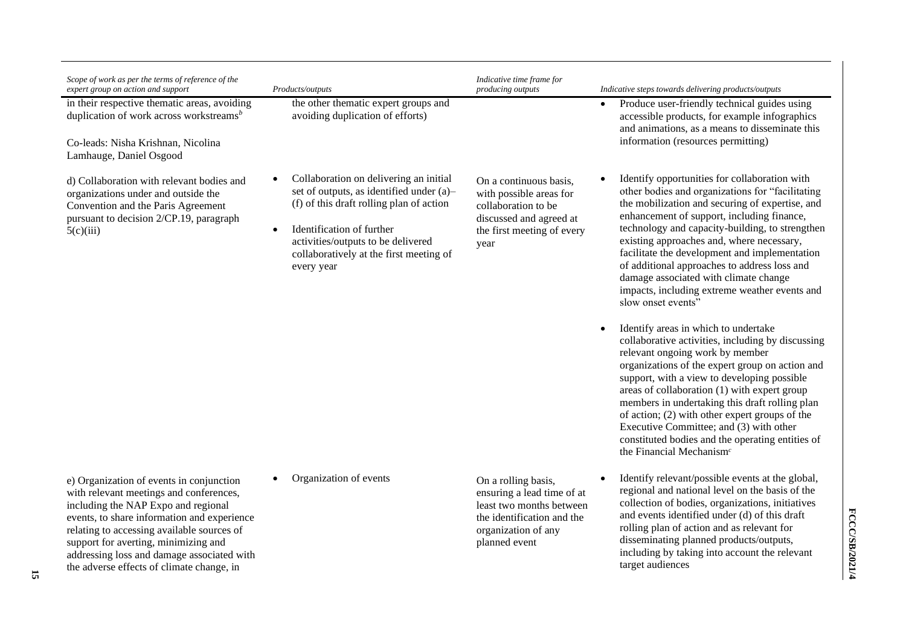| Scope of work as per the terms of reference of the<br>expert group on action and support                                                                                                                                                                                                                                                                   | Products/outputs                                                                                                                                                                                                                                           | Indicative time frame for<br>producing outputs                                                                                                      | Indicative steps towards delivering products/outputs                                                                                                                                                                                                                                                                                                                                                                                                                                                                                                                                                                                                                                                                                                                                                                                                                                                                                                                                                                                             |
|------------------------------------------------------------------------------------------------------------------------------------------------------------------------------------------------------------------------------------------------------------------------------------------------------------------------------------------------------------|------------------------------------------------------------------------------------------------------------------------------------------------------------------------------------------------------------------------------------------------------------|-----------------------------------------------------------------------------------------------------------------------------------------------------|--------------------------------------------------------------------------------------------------------------------------------------------------------------------------------------------------------------------------------------------------------------------------------------------------------------------------------------------------------------------------------------------------------------------------------------------------------------------------------------------------------------------------------------------------------------------------------------------------------------------------------------------------------------------------------------------------------------------------------------------------------------------------------------------------------------------------------------------------------------------------------------------------------------------------------------------------------------------------------------------------------------------------------------------------|
| in their respective thematic areas, avoiding<br>duplication of work across workstreams <sup>b</sup><br>Co-leads: Nisha Krishnan, Nicolina<br>Lamhauge, Daniel Osgood                                                                                                                                                                                       | the other thematic expert groups and<br>avoiding duplication of efforts)                                                                                                                                                                                   |                                                                                                                                                     | Produce user-friendly technical guides using<br>$\bullet$<br>accessible products, for example infographics<br>and animations, as a means to disseminate this<br>information (resources permitting)                                                                                                                                                                                                                                                                                                                                                                                                                                                                                                                                                                                                                                                                                                                                                                                                                                               |
| d) Collaboration with relevant bodies and<br>organizations under and outside the<br>Convention and the Paris Agreement<br>pursuant to decision 2/CP.19, paragraph<br>5(c)(iii)                                                                                                                                                                             | Collaboration on delivering an initial<br>set of outputs, as identified under (a)-<br>(f) of this draft rolling plan of action<br>Identification of further<br>activities/outputs to be delivered<br>collaboratively at the first meeting of<br>every year | On a continuous basis,<br>with possible areas for<br>collaboration to be<br>discussed and agreed at<br>the first meeting of every<br>year           | Identify opportunities for collaboration with<br>other bodies and organizations for "facilitating<br>the mobilization and securing of expertise, and<br>enhancement of support, including finance,<br>technology and capacity-building, to strengthen<br>existing approaches and, where necessary,<br>facilitate the development and implementation<br>of additional approaches to address loss and<br>damage associated with climate change<br>impacts, including extreme weather events and<br>slow onset events"<br>Identify areas in which to undertake<br>collaborative activities, including by discussing<br>relevant ongoing work by member<br>organizations of the expert group on action and<br>support, with a view to developing possible<br>areas of collaboration (1) with expert group<br>members in undertaking this draft rolling plan<br>of action; (2) with other expert groups of the<br>Executive Committee; and (3) with other<br>constituted bodies and the operating entities of<br>the Financial Mechanism <sup>c</sup> |
| e) Organization of events in conjunction<br>with relevant meetings and conferences,<br>including the NAP Expo and regional<br>events, to share information and experience<br>relating to accessing available sources of<br>support for averting, minimizing and<br>addressing loss and damage associated with<br>the adverse effects of climate change, in | Organization of events                                                                                                                                                                                                                                     | On a rolling basis,<br>ensuring a lead time of at<br>least two months between<br>the identification and the<br>organization of any<br>planned event | Identify relevant/possible events at the global,<br>regional and national level on the basis of the<br>collection of bodies, organizations, initiatives<br>and events identified under (d) of this draft<br>rolling plan of action and as relevant for<br>disseminating planned products/outputs,<br>including by taking into account the relevant<br>target audiences                                                                                                                                                                                                                                                                                                                                                                                                                                                                                                                                                                                                                                                                           |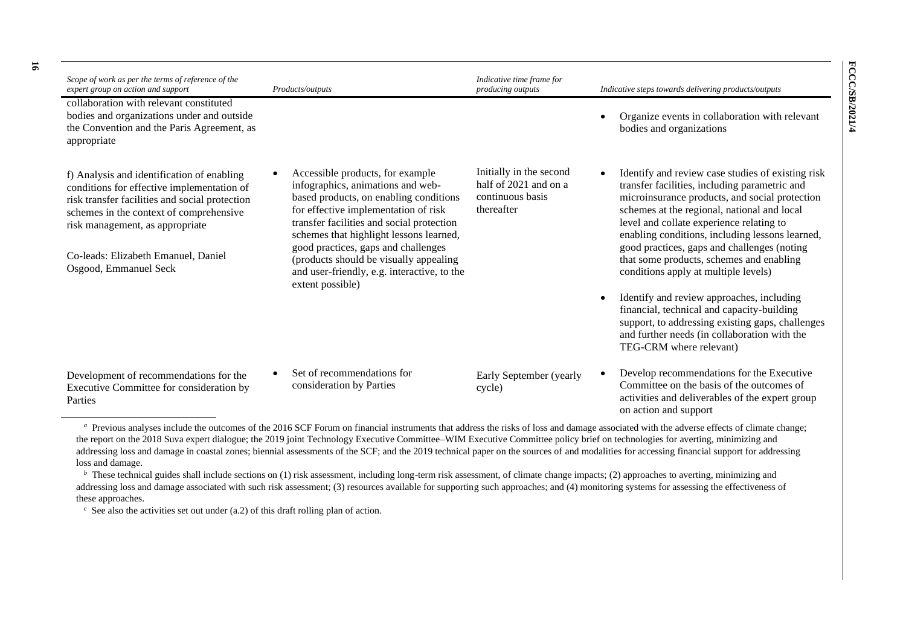| Ξ |
|---|
|   |
| ١ |
|   |
|   |
|   |

| Scope of work as per the terms of reference of the<br>expert group on action and support                                                                                                                                                                                                 | Products/outputs                                                                                                                                                                                                                                                                                                                                                                                    | Indicative time frame for<br>producing outputs                                     | Indicative steps towards delivering products/outputs                                                                                                                                                                                                                                                                                                                                                                                                                                                                                                                                                                                                            |
|------------------------------------------------------------------------------------------------------------------------------------------------------------------------------------------------------------------------------------------------------------------------------------------|-----------------------------------------------------------------------------------------------------------------------------------------------------------------------------------------------------------------------------------------------------------------------------------------------------------------------------------------------------------------------------------------------------|------------------------------------------------------------------------------------|-----------------------------------------------------------------------------------------------------------------------------------------------------------------------------------------------------------------------------------------------------------------------------------------------------------------------------------------------------------------------------------------------------------------------------------------------------------------------------------------------------------------------------------------------------------------------------------------------------------------------------------------------------------------|
| collaboration with relevant constituted<br>bodies and organizations under and outside<br>the Convention and the Paris Agreement, as<br>appropriate                                                                                                                                       |                                                                                                                                                                                                                                                                                                                                                                                                     |                                                                                    | Organize events in collaboration with relevant<br>bodies and organizations                                                                                                                                                                                                                                                                                                                                                                                                                                                                                                                                                                                      |
| f) Analysis and identification of enabling<br>conditions for effective implementation of<br>risk transfer facilities and social protection<br>schemes in the context of comprehensive<br>risk management, as appropriate<br>Co-leads: Elizabeth Emanuel, Daniel<br>Osgood, Emmanuel Seck | Accessible products, for example<br>infographics, animations and web-<br>based products, on enabling conditions<br>for effective implementation of risk<br>transfer facilities and social protection<br>schemes that highlight lessons learned,<br>good practices, gaps and challenges<br>(products should be visually appealing<br>and user-friendly, e.g. interactive, to the<br>extent possible) | Initially in the second<br>half of 2021 and on a<br>continuous basis<br>thereafter | Identify and review case studies of existing risk<br>transfer facilities, including parametric and<br>microinsurance products, and social protection<br>schemes at the regional, national and local<br>level and collate experience relating to<br>enabling conditions, including lessons learned,<br>good practices, gaps and challenges (noting<br>that some products, schemes and enabling<br>conditions apply at multiple levels)<br>Identify and review approaches, including<br>financial, technical and capacity-building<br>support, to addressing existing gaps, challenges<br>and further needs (in collaboration with the<br>TEG-CRM where relevant) |
| Development of recommendations for the<br>Executive Committee for consideration by<br>Parties                                                                                                                                                                                            | Set of recommendations for<br>consideration by Parties                                                                                                                                                                                                                                                                                                                                              | Early September (yearly<br>cycle)                                                  | Develop recommendations for the Executive<br>Committee on the basis of the outcomes of<br>activities and deliverables of the expert group<br>on action and support                                                                                                                                                                                                                                                                                                                                                                                                                                                                                              |

<sup>&</sup>lt;sup>a</sup> Previous analyses include the outcomes of the 2016 SCF Forum on financial instruments that address the risks of loss and damage associated with the adverse effects of climate change; the report on the 2018 Suva expert dialogue; the 2019 joint Technology Executive Committee–WIM Executive Committee policy brief on technologies for averting, minimizing and addressing loss and damage in coastal zones; biennial assessments of the SCF; and the 2019 technical paper on the sources of and modalities for accessing financial support for addressing loss and damage.

**16**

*b* These technical guides shall include sections on (1) risk assessment, including long-term risk assessment, of climate change impacts; (2) approaches to averting, minimizing and addressing loss and damage associated with such risk assessment; (3) resources available for supporting such approaches; and (4) monitoring systems for assessing the effectiveness of these approaches.

*<sup>c</sup>* See also the activities set out under (a.2) of this draft rolling plan of action.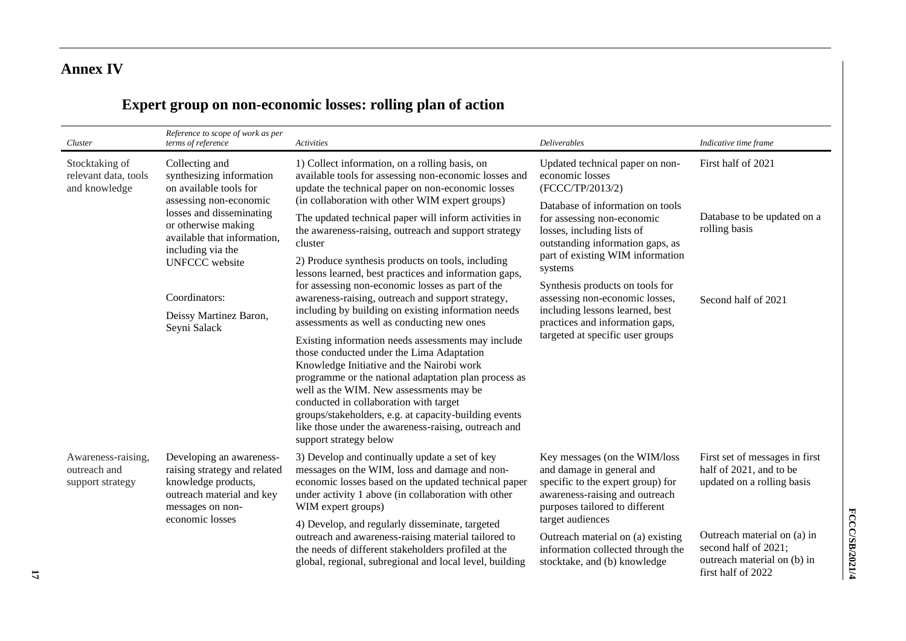# **Annex IV**

# **Expert group on non-economic losses: rolling plan of action**

| Cluster                                                 | Reference to scope of work as per<br>terms of reference                                                                                                                                                                                                                                   | Activities                                                                                                                                                                                                                                                                                                                                                                                                                                                                                                                                                                                                                                                                                                                                                                                                                                                                                                                                                                                                                                                                                                      | <b>Deliverables</b>                                                                                                                                                                                                                                                                                                                                                                                                                      | Indicative time frame                                                                                                                                                                               |
|---------------------------------------------------------|-------------------------------------------------------------------------------------------------------------------------------------------------------------------------------------------------------------------------------------------------------------------------------------------|-----------------------------------------------------------------------------------------------------------------------------------------------------------------------------------------------------------------------------------------------------------------------------------------------------------------------------------------------------------------------------------------------------------------------------------------------------------------------------------------------------------------------------------------------------------------------------------------------------------------------------------------------------------------------------------------------------------------------------------------------------------------------------------------------------------------------------------------------------------------------------------------------------------------------------------------------------------------------------------------------------------------------------------------------------------------------------------------------------------------|------------------------------------------------------------------------------------------------------------------------------------------------------------------------------------------------------------------------------------------------------------------------------------------------------------------------------------------------------------------------------------------------------------------------------------------|-----------------------------------------------------------------------------------------------------------------------------------------------------------------------------------------------------|
| Stocktaking of<br>relevant data, tools<br>and knowledge | Collecting and<br>synthesizing information<br>on available tools for<br>assessing non-economic<br>losses and disseminating<br>or otherwise making<br>available that information,<br>including via the<br><b>UNFCCC</b> website<br>Coordinators:<br>Deissy Martinez Baron,<br>Seyni Salack | 1) Collect information, on a rolling basis, on<br>available tools for assessing non-economic losses and<br>update the technical paper on non-economic losses<br>(in collaboration with other WIM expert groups)<br>The updated technical paper will inform activities in<br>the awareness-raising, outreach and support strategy<br>cluster<br>2) Produce synthesis products on tools, including<br>lessons learned, best practices and information gaps,<br>for assessing non-economic losses as part of the<br>awareness-raising, outreach and support strategy,<br>including by building on existing information needs<br>assessments as well as conducting new ones<br>Existing information needs assessments may include<br>those conducted under the Lima Adaptation<br>Knowledge Initiative and the Nairobi work<br>programme or the national adaptation plan process as<br>well as the WIM. New assessments may be<br>conducted in collaboration with target<br>groups/stakeholders, e.g. at capacity-building events<br>like those under the awareness-raising, outreach and<br>support strategy below | Updated technical paper on non-<br>economic losses<br>(FCCC/TP/2013/2)<br>Database of information on tools<br>for assessing non-economic<br>losses, including lists of<br>outstanding information gaps, as<br>part of existing WIM information<br>systems<br>Synthesis products on tools for<br>assessing non-economic losses,<br>including lessons learned, best<br>practices and information gaps,<br>targeted at specific user groups | First half of 2021<br>Database to be updated on a<br>rolling basis<br>Second half of 2021                                                                                                           |
| Awareness-raising,<br>outreach and<br>support strategy  | Developing an awareness-<br>raising strategy and related<br>knowledge products,<br>outreach material and key<br>messages on non-<br>economic losses                                                                                                                                       | 3) Develop and continually update a set of key<br>messages on the WIM, loss and damage and non-<br>economic losses based on the updated technical paper<br>under activity 1 above (in collaboration with other<br>WIM expert groups)<br>4) Develop, and regularly disseminate, targeted<br>outreach and awareness-raising material tailored to<br>the needs of different stakeholders profiled at the<br>global, regional, subregional and local level, building                                                                                                                                                                                                                                                                                                                                                                                                                                                                                                                                                                                                                                                | Key messages (on the WIM/loss<br>and damage in general and<br>specific to the expert group) for<br>awareness-raising and outreach<br>purposes tailored to different<br>target audiences<br>Outreach material on (a) existing<br>information collected through the<br>stocktake, and (b) knowledge                                                                                                                                        | First set of messages in first<br>half of 2021, and to be<br>updated on a rolling basis<br>Outreach material on (a) in<br>second half of 2021;<br>outreach material on (b) in<br>first half of 2022 |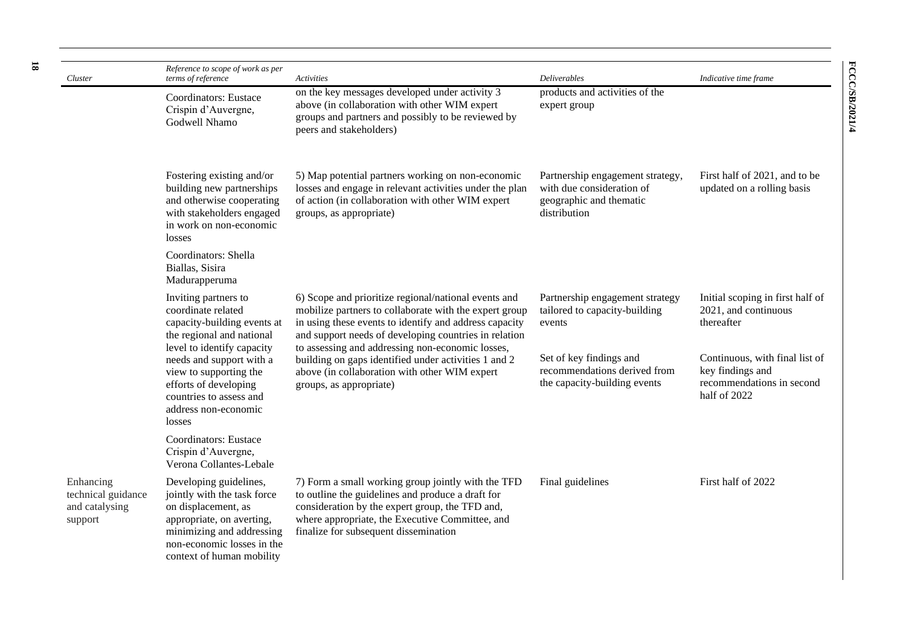| Cluster                                                      | Reference to scope of work as per<br>terms of reference                                                                                                                                           | Activities                                                                                                                                                                                                                                                                            | <b>Deliverables</b>                                                                                      | Indicative time frame                                                                           |
|--------------------------------------------------------------|---------------------------------------------------------------------------------------------------------------------------------------------------------------------------------------------------|---------------------------------------------------------------------------------------------------------------------------------------------------------------------------------------------------------------------------------------------------------------------------------------|----------------------------------------------------------------------------------------------------------|-------------------------------------------------------------------------------------------------|
|                                                              | <b>Coordinators: Eustace</b><br>Crispin d'Auvergne,<br>Godwell Nhamo                                                                                                                              | on the key messages developed under activity 3<br>above (in collaboration with other WIM expert<br>groups and partners and possibly to be reviewed by<br>peers and stakeholders)                                                                                                      | products and activities of the<br>expert group                                                           |                                                                                                 |
|                                                              | Fostering existing and/or<br>building new partnerships<br>and otherwise cooperating<br>with stakeholders engaged<br>in work on non-economic<br>losses                                             | 5) Map potential partners working on non-economic<br>losses and engage in relevant activities under the plan<br>of action (in collaboration with other WIM expert<br>groups, as appropriate)                                                                                          | Partnership engagement strategy,<br>with due consideration of<br>geographic and thematic<br>distribution | First half of 2021, and to be<br>updated on a rolling basis                                     |
|                                                              | Coordinators: Shella<br>Biallas, Sisira<br>Madurapperuma                                                                                                                                          |                                                                                                                                                                                                                                                                                       |                                                                                                          |                                                                                                 |
|                                                              | Inviting partners to<br>coordinate related<br>capacity-building events at<br>the regional and national<br>level to identify capacity                                                              | 6) Scope and prioritize regional/national events and<br>mobilize partners to collaborate with the expert group<br>in using these events to identify and address capacity<br>and support needs of developing countries in relation<br>to assessing and addressing non-economic losses, | Partnership engagement strategy<br>tailored to capacity-building<br>events                               | Initial scoping in first half of<br>2021, and continuous<br>thereafter                          |
|                                                              | needs and support with a<br>view to supporting the<br>efforts of developing<br>countries to assess and<br>address non-economic<br>losses                                                          | building on gaps identified under activities 1 and 2<br>above (in collaboration with other WIM expert<br>groups, as appropriate)                                                                                                                                                      | Set of key findings and<br>recommendations derived from<br>the capacity-building events                  | Continuous, with final list of<br>key findings and<br>recommendations in second<br>half of 2022 |
|                                                              | <b>Coordinators: Eustace</b><br>Crispin d'Auvergne,<br>Verona Collantes-Lebale                                                                                                                    |                                                                                                                                                                                                                                                                                       |                                                                                                          |                                                                                                 |
| Enhancing<br>technical guidance<br>and catalysing<br>support | Developing guidelines,<br>jointly with the task force<br>on displacement, as<br>appropriate, on averting,<br>minimizing and addressing<br>non-economic losses in the<br>context of human mobility | 7) Form a small working group jointly with the TFD<br>to outline the guidelines and produce a draft for<br>consideration by the expert group, the TFD and,<br>where appropriate, the Executive Committee, and<br>finalize for subsequent dissemination                                | Final guidelines                                                                                         | First half of 2022                                                                              |

**FCCC/SB/2021/4**

FCCC/SB/2021/4

**18**